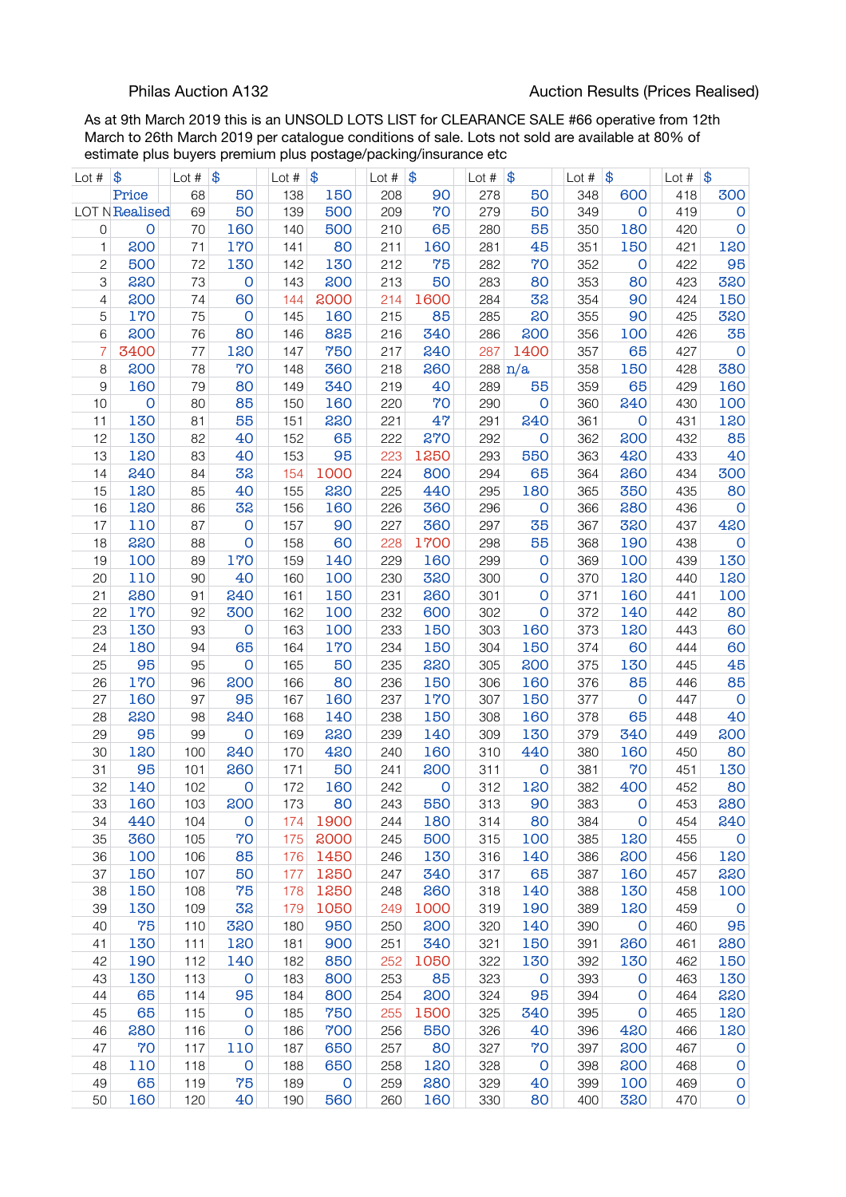As at 9th March 2019 this is an UNSOLD LOTS LIST for CLEARANCE SALE #66 operative from 12th March to 26th March 2019 per catalogue conditions of sale. Lots not sold are available at 80% of estimate plus buyers premium plus postage/packing/insurance etc

| Lot $#$        | \$             | Lot # | \$                  | Lot $#$ | \$           | Lot $#$ | $\frac{1}{2}$ | Lot $#$ | \$                | Lot $#$ | \$                      | Lot # | $\frac{1}{2}$ |
|----------------|----------------|-------|---------------------|---------|--------------|---------|---------------|---------|-------------------|---------|-------------------------|-------|---------------|
|                | Price          | 68    | 50                  | 138     | 150          | 208     | 90            | 278     | 50                | 348     | 600                     | 418   | 300           |
|                | LOT N Realised | 69    | 50                  | 139     | 500          | 209     | 70            | 279     | 50                | 349     | $\circ$                 | 419   | $\mathsf O$   |
| 0              | $\mathbf 0$    | 70    | 160                 | 140     | 500          | 210     | 65            | 280     | 55                | 350     | 180                     | 420   | $\mathsf{o}$  |
| 1              | 200            | 71    | 170                 | 141     | 80           | 211     | 160           | 281     | 45                | 351     | 150                     | 421   | 120           |
| $\overline{c}$ | 500            | 72    | 130                 | 142     | 130          | 212     | 75            | 282     | 70                | 352     | $\circ$                 | 422   | 95            |
| 3              | 220            | 73    | $\mathbf 0$         | 143     | 200          | 213     | 50            | 283     | 80                | 353     | 80                      | 423   | 320           |
| 4              | 200            | 74    | 60                  | 144     | 2000         | 214     | 1600          | 284     | 32                | 354     | 90                      | 424   | 150           |
| 5              | 170            | 75    | $\mathbf 0$         | 145     | 160          | 215     | 85            | 285     | 20                | 355     | 90                      | 425   | 320           |
| 6              | 200            | 76    | 80                  | 146     | 825          | 216     | 340           | 286     | 200               | 356     | 100                     | 426   | 35            |
| 7              | 3400           | 77    | 120                 | 147     | 750          | 217     | 240           | 287     | 1400              | 357     | 65                      | 427   | $\mathbf 0$   |
| 8              | 200            | 78    | 70                  | 148     | 360          | 218     | 260           |         | $288 \text{ n/a}$ | 358     | 150                     | 428   | 380           |
| 9              | 160            | 79    | 80                  | 149     | 340          | 219     | 40            | 289     | 55                | 359     | 65                      | 429   | 160           |
| 10             | $\circ$        | 80    | 85                  | 150     | 160          | 220     | 70            | 290     | $\mathbf 0$       | 360     | 240                     | 430   | 100           |
| 11             | 130            | 81    | 55                  |         | 220          | 221     | 47            |         | 240               | 361     | $\circ$                 | 431   | 120           |
|                |                |       |                     | 151     |              |         |               | 291     |                   |         |                         |       |               |
| 12             | 130            | 82    | 40                  | 152     | 65           | 222     | 270           | 292     | $\mathbf 0$       | 362     | 200                     | 432   | 85            |
| 13             | 120            | 83    | 40                  | 153     | 95           | 223     | 1250          | 293     | 550               | 363     | 420                     | 433   | 40            |
| 14             | 240            | 84    | 32                  | 154     | 1000         | 224     | 800           | 294     | 65                | 364     | 260                     | 434   | 300           |
| 15             | 120            | 85    | 40                  | 155     | 220          | 225     | 440           | 295     | 180               | 365     | 350                     | 435   | 80            |
| 16             | 120            | 86    | 32                  | 156     | 160          | 226     | 360           | 296     | $\mathbf 0$       | 366     | 280                     | 436   | $\mathsf{O}$  |
| 17             | 110            | 87    | $\mathsf{O}\xspace$ | 157     | 90           | 227     | 360           | 297     | 35                | 367     | 320                     | 437   | 420           |
| 18             | 220            | 88    | $\mathsf O$         | 158     | 60           | 228     | 1700          | 298     | 55                | 368     | 190                     | 438   | $\mathsf{O}$  |
| 19             | 100            | 89    | 170                 | 159     | 140          | 229     | 160           | 299     | $\mathbf 0$       | 369     | 100                     | 439   | 130           |
| 20             | 110            | 90    | 40                  | 160     | 100          | 230     | 320           | 300     | 0                 | 370     | 120                     | 440   | 120           |
| 21             | 280            | 91    | 240                 | 161     | 150          | 231     | 260           | 301     | 0                 | 371     | 160                     | 441   | 100           |
| 22             | 170            | 92    | 300                 | 162     | 100          | 232     | 600           | 302     | $\mathbf 0$       | 372     | 140                     | 442   | 80            |
| 23             | 130            | 93    | $\mathsf{O}\xspace$ | 163     | 100          | 233     | 150           | 303     | 160               | 373     | 120                     | 443   | 60            |
| 24             | 180            | 94    | 65                  | 164     | 170          | 234     | 150           | 304     | 150               | 374     | 60                      | 444   | 60            |
| 25             | 95             | 95    | $\mathbf 0$         | 165     | 50           | 235     | 220           | 305     | 200               | 375     | 130                     | 445   | 45            |
| 26             | 170            | 96    | 200                 | 166     | 80           | 236     | 150           | 306     | 160               | 376     | 85                      | 446   | 85            |
| 27             | 160            | 97    | 95                  | 167     | 160          | 237     | 170           | 307     | 150               | 377     | $\circ$                 | 447   | $\mathbf 0$   |
| 28             | 220            | 98    | 240                 | 168     | 140          | 238     | 150           | 308     | 160               | 378     | 65                      | 448   | 40            |
| 29             | 95             | 99    | $\mathbf 0$         | 169     | 220          | 239     | 140           | 309     | 130               | 379     | 340                     | 449   | 200           |
| 30             | 120            | 100   | 240                 | 170     | 420          | 240     | 160           | 310     | 440               | 380     | 160                     | 450   | 80            |
| 31             | 95             | 101   | 260                 | 171     | 50           | 241     | 200           | 311     | O                 | 381     | 70                      | 451   | 130           |
| 32             | 140            | 102   | $\mathsf{O}$        | 172     | 160          | 242     | O             | 312     | 120               | 382     | 400                     | 452   | 80            |
| 33             | 160            | 103   | 200                 | 173     | 80           | 243     | 550           | 313     | 90                | 383     | $\mathbf 0$             | 453   | 280           |
| 34             | 440            | 104   | $\mathbf 0$         | 174     | 1900         | 244     | 180           | 314     | 80                | 384     | $\mathsf{o}$            | 454   | 240           |
| 35             | 360            | 105   | 70                  | 175     | 2000         | 245     | 500           | 315     | 100               | 385     | 120                     | 455   | $\mathsf O$   |
| 36             | 100            | 106   | 85                  | 176     | 1450         | 246     | 130           | 316     | 140               | 386     | 200                     | 456   | 120           |
| 37             | 150            | 107   | 50                  | 177     | 1250         | 247     | 340           | 317     | 65                | 387     | 160                     | 457   | 220           |
| 38             | 150            | 108   | 75                  | 178     | 1250         | 248     | 260           | 318     | 140               | 388     | 130                     | 458   | 100           |
| 39             | 130            | 109   | 32                  | 179     | 1050         | 249     | 1000          | 319     | 190               | 389     | 120                     | 459   | $\mathsf{O}$  |
| 40             | 75             | 110   | 320                 | 180     | 950          | 250     | 200           | 320     | 140               | 390     | $\overline{\mathbf{0}}$ | 460   | 95            |
| 41             | 130            | 111   | 120                 | 181     | 900          | 251     | 340           | 321     | 150               | 391     | 260                     | 461   | 280           |
| 42             | 190            | 112   | 140                 | 182     | 850          | 252     | 1050          | 322     | 130               | 392     | 130                     | 462   | 150           |
| 43             | 130            | 113   | $\mathsf O$         | 183     | 800          | 253     | 85            | 323     | $\mathsf{O}$      | 393     | $\mathbf 0$             | 463   | 130           |
| 44             | 65             | 114   | 95                  | 184     | 800          | 254     | 200           | 324     | 95                | 394     | $\mathsf{O}$            | 464   | 220           |
| 45             | 65             | 115   | $\mathsf O$         | 185     | 750          | 255     | 1500          | 325     | 340               | 395     | $\mathbf 0$             | 465   | 120           |
| 46             | 280            | 116   | $\mathsf O$         | 186     | 700          | 256     | 550           | 326     | 40                | 396     | 420                     | 466   | 120           |
| 47             | 70             | 117   | 110                 | 187     | 650          | 257     | 80            | 327     | 70                | 397     | 200                     | 467   | $\mathbf 0$   |
| 48             | 110            | 118   | $\mathbf 0$         | 188     | 650          | 258     | 120           | 328     | $\mathbf 0$       | 398     | 200                     | 468   | $\mathsf O$   |
| 49             | 65             | 119   | 75                  | 189     | $\mathsf{O}$ | 259     | 280           | 329     | 40                | 399     | 100                     | 469   | $\mathsf O$   |
| 50             | 160            | 120   | 40                  | 190     | 560          | 260     | 160           | 330     | 80                | 400     | 320                     | 470   | $\mathsf O$   |
|                |                |       |                     |         |              |         |               |         |                   |         |                         |       |               |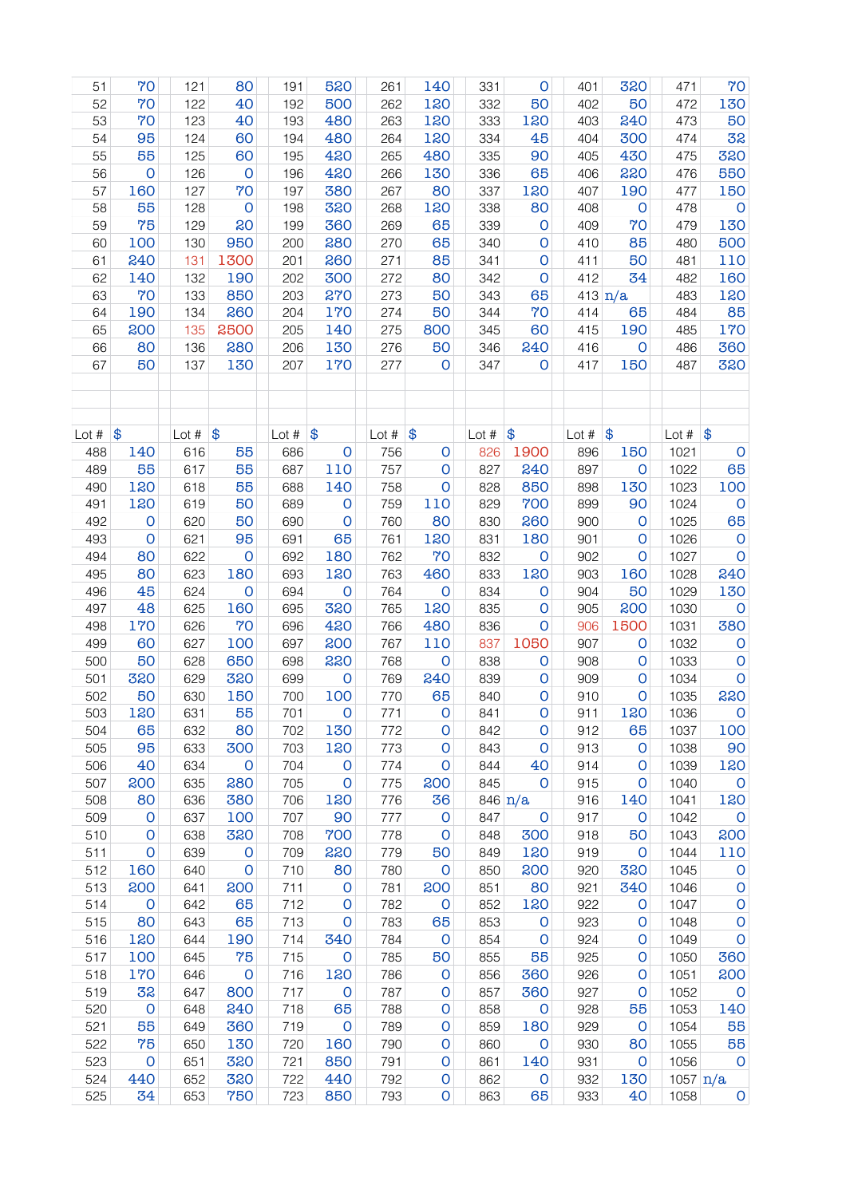| 51      | 70                  | 121        | 80           | 191     | 520                | 261     | 140          | 331     | $\mathsf{O}$        | 401     | 320                 | 471                              | 70                  |
|---------|---------------------|------------|--------------|---------|--------------------|---------|--------------|---------|---------------------|---------|---------------------|----------------------------------|---------------------|
| 52      | 70                  | 122        | 40           | 192     | 500                | 262     | 120          | 332     | 50                  | 402     | 50                  | 472                              | 130                 |
| 53      | 70                  | 123        | 40           | 193     | 480                | 263     | 120          | 333     | 120                 | 403     | 240                 | 473                              | 50                  |
| 54      | 95                  | 124        | 60           | 194     | 480                | 264     | 120          | 334     | 45                  | 404     | 300                 | 474                              | 32                  |
| 55      | 55                  | 125        | 60           | 195     | 420                | 265     | 480          | 335     | 90                  | 405     | 430                 | 475                              | 320                 |
| 56      | $\mathbf 0$         | 126        | $\mathbf 0$  | 196     | 420                | 266     | 130          | 336     | 65                  | 406     | 220                 | 476                              | 550                 |
| 57      | 160                 | 127        | 70           | 197     | 380                | 267     | 80           | 337     | 120                 | 407     | 190                 | 477                              | 150                 |
| 58      | 55                  | 128        | $\mathbf 0$  | 198     | 320                | 268     | 120          | 338     | 80                  | 408     | $\mathbf 0$         | 478                              | $\mathbf 0$         |
| 59      | 75                  | 129        | 20           | 199     | 360                | 269     | 65           | 339     | $\mathsf{O}$        | 409     | 70                  | 479                              | 130                 |
| 60      | 100                 | 130        | 950          | 200     | 280                | 270     | 65           | 340     | 0                   | 410     | 85                  | 480                              | 500                 |
| 61      | 240                 | 131        | 1300         | 201     | 260                | 271     | 85           | 341     | 0                   | 411     | 50                  | 481                              | 110                 |
| 62      | 140                 | 132        | 190          | 202     | 300                | 272     | 80           | 342     | $\mathsf O$         | 412     | 34                  | 482                              | 160                 |
| 63      | 70                  | 133        | 850          | 203     | 270                | 273     | 50           | 343     | 65                  |         | 413 $n/a$           | 483                              | 120                 |
| 64      | 190                 | 134        | 260          | 204     | 170                | 274     | 50           | 344     | 70                  | 414     | 65                  | 484                              | 85                  |
| 65      | 200                 | 135        | 2500         | 205     | 140                | 275     | 800          | 345     | 60                  | 415     | 190                 | 485                              | 170                 |
| 66      | 80                  | 136        | 280          | 206     | 130                | 276     | 50           | 346     | 240                 | 416     | $\mathsf{O}\xspace$ | 486                              | 360                 |
| 67      | 50                  | 137        | 130          | 207     | 170                | 277     | $\mathsf{O}$ | 347     | 0                   | 417     | 150                 | 487                              | 320                 |
|         |                     |            |              |         |                    |         |              |         |                     |         |                     |                                  |                     |
|         |                     |            |              |         |                    |         |              |         |                     |         |                     |                                  |                     |
| Lot $#$ | $\frac{1}{2}$       | Lot $#$    | \$           | Lot $#$ | \$                 | Lot $#$ | \$           | Lot $#$ | \$                  | Lot $#$ | \$                  | Lot $\#$ $\$\$                   |                     |
| 488     | 140                 | 616        | 55           | 686     | $\mathbf 0$        | 756     | $\mathsf O$  | 826     | 1900                | 896     | 150                 | 1021                             | $\mathsf O$         |
| 489     | 55                  | 617        | 55           | 687     | 110                | 757     | $\mathbf 0$  | 827     | 240                 | 897     | $\mathbf 0$         | 1022                             | 65                  |
| 490     | 120                 | 618        | 55           | 688     | 140                | 758     | $\mathsf{O}$ | 828     | 850                 | 898     | 130                 | 1023                             | 100                 |
| 491     | 120                 | 619        | 50           | 689     | $\mathbf 0$        | 759     | 110          | 829     | 700                 | 899     | 90                  | 1024                             | $\mathbf 0$         |
| 492     | $\mathsf{O}\xspace$ | 620        | 50           | 690     | $\mathbf 0$        | 760     | 80           | 830     | 260                 | 900     | $\mathbf 0$         | 1025                             | 65                  |
| 493     | $\mathsf{O}$        | 621        | 95           | 691     | 65                 | 761     | 120          | 831     | 180                 | 901     | O                   | 1026                             | $\mathbf 0$         |
| 494     | 80                  | 622        | $\mathbf 0$  | 692     | 180                | 762     | 70           | 832     | $\mathbf 0$         | 902     | $\mathbf 0$         | 1027                             | $\mathbf 0$         |
| 495     | 80                  | 623        | 180          | 693     | 120                | 763     | 460          | 833     | 120                 | 903     | 160                 | 1028                             | 240                 |
| 496     | 45                  | 624        | $\mathbf 0$  | 694     | $\mathbf 0$        | 764     | $\mathbf 0$  | 834     | $\mathsf{O}$        | 904     | 50                  | 1029                             | 130                 |
| 497     | 48                  | 625        | 160          | 695     | 320                | 765     | 120          | 835     | 0                   | 905     | 200                 | 1030                             | $\mathbf 0$         |
| 498     | 170                 | 626        | 70           | 696     | 420                | 766     | 480          | 836     | 0                   | 906     | 1500                | 1031                             | 380                 |
| 499     | 60                  | 627        | 100          | 697     | 200                | 767     | 110          | 837     | 1050                | 907     | $\mathsf{O}$        | 1032                             | $\mathbf 0$         |
| 500     | 50                  | 628        | 650          | 698     | 220                | 768     | $\mathsf O$  | 838     | 0                   | 908     | $\mathsf{O}$        | 1033                             | $\mathbf 0$         |
| 501     | 320                 | 629        | 320          | 699     | $\mathbf 0$        | 769     | 240          | 839     | 0                   | 909     | O                   | 1034                             | $\mathsf{O}\xspace$ |
| 502     | 50                  | 630        | 150          | 700     | 100                | 770     | 65           | 840     | 0                   | 910     | $\mathbf 0$         | 1035                             | 220                 |
| 503     | 120                 | 631        | 55           | 701     | $\mathsf{o}$       | 771     | O            | 841     | 0                   | 911     | 120                 | 1036                             | $\mathbf 0$         |
| 504     | 65                  | 632        | 80           | 702     | 130                | 772     | 0            | 842     | O                   | 912     | 65                  | 1037                             | 100                 |
| 505     | 95                  | 633        | 300          | 703     | 120                | 773     | $\circ$      | 843     | $\mathbf 0$         | 913     | $\mathbf 0$         | 1038                             | 90                  |
| 506     | 40                  | 634        | $\mathsf{O}$ | 704     | $\overline{O}$     | 774     | $\mathbf 0$  | 844     | 40                  | 914     | $\mathbf 0$         | 1039                             | 120                 |
| 507     | 200                 | 635        | 280          | 705     | $\mathbf 0$        | 775     | 200          | 845     | $\mathsf{O}\xspace$ | 915     | $\mathbf 0$         | 1040                             | $\mathbf 0$         |
| 508     | 80                  | 636        | 380          | 706     | 120                | 776     | 36           |         | 846 $n/a$           | 916     | 140                 | 1041                             | 120                 |
| 509     | $\mathsf{O}$        | 637        | 100          | 707     | 90                 | 777     | $\mathbf 0$  | 847     | $\mathsf O$         | 917     | $\mathbf 0$         | 1042                             | $\mathsf{o}$        |
| 510     | $\mathsf O$         | 638        | 320          | 708     | 700                | 778     | $\mathbf 0$  | 848     | 300                 | 918     | 50                  | 1043                             | 200                 |
| 511     | $\mathsf O$         | 639        | $\mathbf 0$  | 709     | 220                | 779     | 50           | 849     | 120                 | 919     | $\mathbf{O}$        | 1044                             | 110                 |
| 512     | 160                 | 640        | $\mathbf 0$  | 710     | 80                 | 780     | $\mathbf 0$  | 850     | 200                 | 920     | 320                 | 1045                             | $\mathbf 0$         |
| 513     | 200                 | 641        | 200          | 711     | $\mathbf 0$        | 781     | 200          | 851     | 80                  | 921     | 340                 | 1046                             | $\mathsf{O}\xspace$ |
| 514     | $\mathsf{O}$        | 642        | 65           | 712     | O                  | 782     | $\mathsf{O}$ | 852     | 120                 | 922     | $\mathbf 0$         | 1047                             | $\mathsf O$         |
| 515     | 80                  | 643        | 65           | 713     | O                  | 783     | 65           | 853     | $\mathsf{O}$        | 923     | $\mathsf{O}$        | 1048                             | $\mathsf{O}\xspace$ |
| 516     | 120                 | 644        | 190          | 714     | 340                | 784     | $\mathbf 0$  | 854     | $\mathbf 0$         | 924     | O                   | 1049                             | $\mathsf{O}\xspace$ |
|         | 100                 | 645        | 75           |         |                    | 785     |              |         | 55                  |         |                     |                                  |                     |
| 517     |                     |            |              | 715     | $\mathbf 0$<br>120 |         | 50           | 855     |                     | 925     | $\mathsf{O}$        | 1050                             | 360                 |
| 518     | 170                 | 646<br>647 | $\mathbf 0$  | 716     |                    | 786     | $\mathsf{O}$ | 856     | 360                 | 926     | $\mathbf 0$         | 1051                             | 200                 |
| 519     | 32                  |            | 800          | 717     | $\mathbf 0$        | 787     | $\mathsf{O}$ | 857     | 360                 | 927     | $\mathsf{O}$        | 1052                             | $\mathsf{O}$        |
| 520     | $\mathbf 0$         | 648        | 240          | 718     | 65                 | 788     | 0            | 858     | $\mathsf{O}$        | 928     | 55                  | 1053                             | 140                 |
| 521     | 55                  | 649        | 360          | 719     | $\mathsf{O}$       | 789     | 0            | 859     | 180                 | 929     | $\mathsf{o}$        | 1054                             | 55                  |
| 522     | 75                  | 650        | 130          | 720     | 160                | 790     | 0            | 860     | $\mathsf{o}$        | 930     | 80                  | 1055                             | 55                  |
| 523     | $\mathbf 0$         | 651        | 320          | 721     | 850                | 791     | $\mathsf O$  | 861     | 140                 | 931     | $\mathbf 0$         | 1056                             | $\overline{0}$      |
| 524     | 440                 | 652        | 320          | 722     | 440                | 792     | $\mathsf O$  | 862     | $\mathsf{O}$        | 932     | 130                 | $1057 \frac{\text{n}}{\text{a}}$ |                     |
| 525     | 34                  | 653        | 750          | 723     | 850                | 793     | $\mathsf O$  | 863     | 65                  | 933     | 40                  | 1058                             | $\mathsf{O}$        |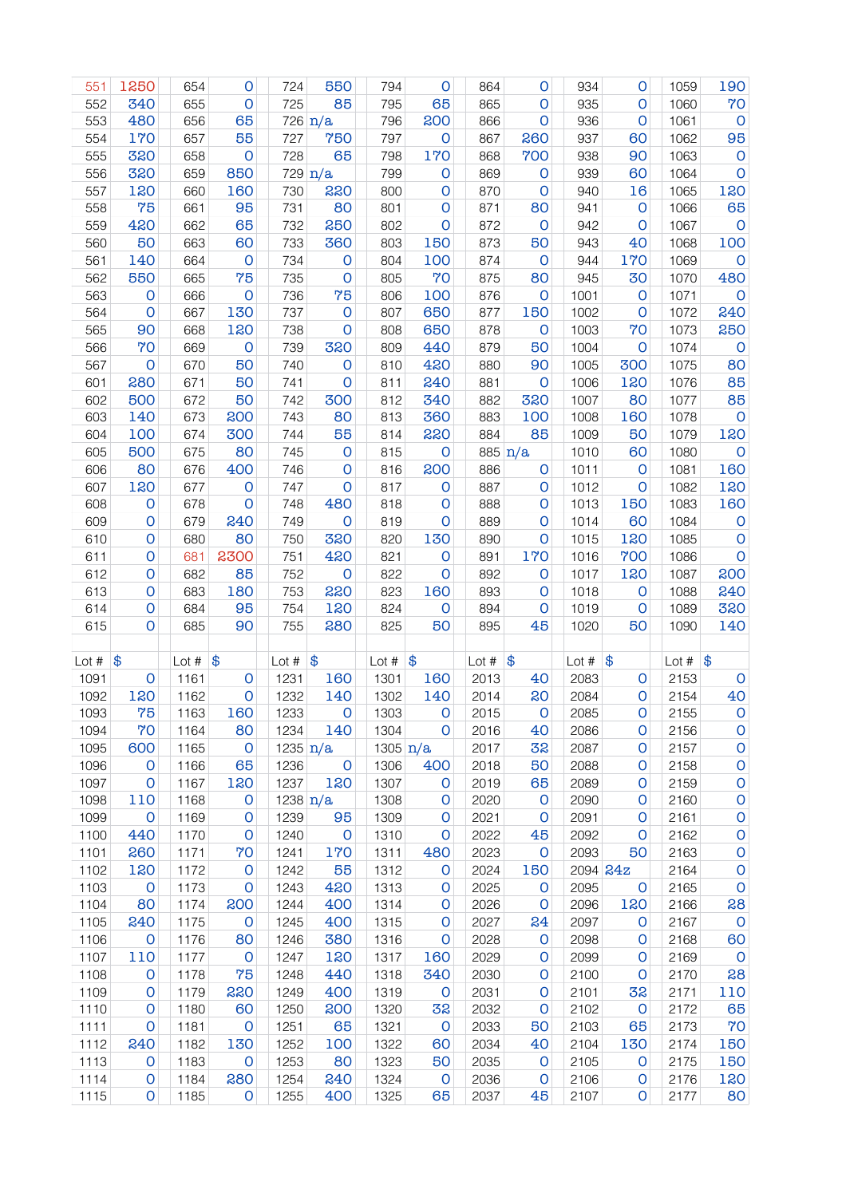| 551     | 1250                    | 654     | $\mathsf{O}$        | 724                    | 550               | 794        | $\mathsf{O}$  | 864     | O             | 934      | 0                   | 1059                | 190                 |
|---------|-------------------------|---------|---------------------|------------------------|-------------------|------------|---------------|---------|---------------|----------|---------------------|---------------------|---------------------|
| 552     | 340                     | 655     | $\mathsf{O}\xspace$ | 725                    | 85                | 795        | 65            | 865     | O             | 935      | $\mathsf{O}$        | 1060                | 70                  |
| 553     | 480                     | 656     | 65                  |                        | $726 \text{ n/a}$ | 796        | 200           | 866     | O             | 936      | $\mathbf 0$         | 1061                | $\mathsf{O}$        |
| 554     | 170                     | 657     | 55                  | 727                    | 750               | 797        | $\mathbf 0$   | 867     | 260           | 937      | 60                  | 1062                | 95                  |
| 555     | 320                     | 658     | $\mathsf O$         | 728                    | 65                | 798        | 170           | 868     | 700           | 938      | 90                  | 1063                | $\mathsf O$         |
| 556     | 320                     | 659     | 850                 |                        | $729 \text{ n/a}$ | 799        | $\circ$       | 869     | $\mathbf 0$   | 939      | 60                  | 1064                | $\mathsf O$         |
| 557     | 120                     | 660     | 160                 | 730                    | 220               | 800        | $\mathbf 0$   | 870     | $\mathbf 0$   | 940      | 16                  | 1065                | 120                 |
| 558     | 75                      | 661     | 95                  | 731                    | 80                | 801        | $\mathbf 0$   | 871     | 80            | 941      | $\mathbf 0$         | 1066                | 65                  |
| 559     | 420                     | 662     | 65                  | 732                    | 250               | 802        | $\mathsf{O}$  | 872     | $\mathbf 0$   | 942      | $\mathbf 0$         | 1067                | $\mathbf 0$         |
| 560     | 50                      | 663     | 60                  | 733                    | 360               | 803        | 150           | 873     | 50            | 943      | 40                  | 1068                | 100                 |
| 561     | 140                     | 664     | $\mathbf 0$         | 734                    | $\mathbf 0$       | 804        | 100           | 874     | $\mathbf 0$   | 944      | 170                 | 1069                | O                   |
| 562     | 550                     | 665     | 75                  | 735                    | $\mathbf 0$       | 805        | 70            | 875     | 80            | 945      | 30                  | 1070                | 480                 |
| 563     | $\mathsf{O}$            | 666     | $\mathbf 0$         | 736                    | 75                | 806        | 100           | 876     | $\mathbf 0$   | 1001     | $\mathsf{O}$        | 1071                | $\mathsf{O}\xspace$ |
| 564     | O                       | 667     | 130                 | 737                    | $\mathbf 0$       | 807        | 650           | 877     | 150           | 1002     | $\mathbf 0$         | 1072                | 240                 |
| 565     | 90                      | 668     | 120                 | 738                    | O                 | 808        | 650           | 878     | $\mathsf{O}$  | 1003     | 70                  | 1073                | 250                 |
| 566     | 70                      | 669     | $\mathsf{O}\xspace$ | 739                    | 320               | 809        | 440           | 879     | 50            | 1004     | O                   | 1074                | $\mathsf O$         |
| 567     | $\mathbf 0$             | 670     | 50                  | 740                    | $\mathbf 0$       | 810        | 420           | 880     | 90            | 1005     | 300                 | 1075                | 80                  |
| 601     | 280                     | 671     | 50                  | 741                    | $\mathbf 0$       | 811        | 240           | 881     | $\mathbf 0$   | 1006     | 120                 | 1076                | 85                  |
| 602     | 500                     | 672     | 50                  | 742                    | 300               | 812        | 340           | 882     | 320           | 1007     | 80                  | 1077                | 85                  |
| 603     | 140                     | 673     | 200                 | 743                    | 80                | 813        | 360           | 883     | 100           | 1008     | 160                 | 1078                | $\mathbf 0$         |
| 604     | 100                     | 674     | 300                 | 744                    | 55                | 814        | 220           | 884     | 85            | 1009     | 50                  | 1079                | 120                 |
| 605     | 500                     | 675     | 80                  | 745                    | $\mathbf 0$       | 815        | $\mathbf 0$   |         | 885 $n/a$     | 1010     | 60                  | 1080                | $\mathsf O$         |
| 606     | 80                      | 676     | 400                 | 746                    | $\mathbf 0$       | 816        | 200           | 886     | $\mathbf 0$   | 1011     | $\mathsf{O}\xspace$ | 1081                | 160                 |
| 607     | 120                     | 677     | $\mathsf{O}$        | 747                    | $\mathbf 0$       | 817        | $\mathbf 0$   | 887     | $\mathbf 0$   | 1012     | $\mathbf 0$         | 1082                | 120                 |
| 608     | $\mathsf{O}$            | 678     | $\mathbf 0$         | 748                    | 480               | 818        | $\mathbf 0$   | 888     | $\mathbf 0$   | 1013     | 150                 | 1083                | 160                 |
| 609     | 0                       | 679     | 240                 | 749                    | $\mathbf 0$       | 819        | $\mathsf{O}$  | 889     | O             | 1014     | 60                  | 1084                | $\mathsf{O}\xspace$ |
| 610     | 0                       | 680     | 80                  | 750                    | 320               | 820        | 130           | 890     | O             | 1015     | 120                 | 1085                | $\mathsf O$         |
| 611     | 0                       | 681     | 2300                | 751                    | 420               | 821        | $\mathsf{O}$  | 891     | 170           | 1016     | 700                 | 1086                | $\mathsf O$         |
| 612     | 0                       | 682     | 85                  | 752                    | $\mathbf 0$       | 822        | $\mathbf 0$   | 892     | 0             | 1017     | 120                 | 1087                | 200                 |
|         |                         |         |                     |                        |                   |            |               |         |               |          |                     |                     |                     |
|         |                         |         |                     |                        |                   |            |               |         |               |          |                     |                     |                     |
| 613     | 0                       | 683     | 180                 | 753                    | 220               | 823        | 160           | 893     | $\mathbf 0$   | 1018     | 0                   | 1088                | 240                 |
| 614     | 0                       | 684     | 95                  | 754                    | 120               | 824        | $\mathbf 0$   | 894     | $\mathbf 0$   | 1019     | 0                   | 1089                | 320                 |
| 615     | $\mathsf O$             | 685     | 90                  | 755                    | 280               | 825        | 50            | 895     | 45            | 1020     | 50                  | 1090                | 140                 |
|         |                         |         |                     |                        |                   |            |               |         |               |          |                     |                     |                     |
| Lot $#$ | \$                      | Lot $#$ | \$                  | Lot $#$                | \$                | Lot #      | $\frac{1}{2}$ | Lot $#$ | $\frac{1}{2}$ | Lot $#$  | \$                  | Lot # $\frac{1}{9}$ |                     |
| 1091    | $\mathsf{O}\xspace$     | 1161    | $\circ$             | 1231                   | 160               | 1301       | 160           | 2013    | 40            | 2083     | 0                   | 2153                | $\mathsf O$         |
| 1092    | 120                     | 1162    | $\mathbf 0$         | 1232                   | 140               | 1302       | 140           | 2014    | 20            | 2084     | $\mathsf{O}$        | 2154                | 40                  |
| 1093    | 75                      | 1163    | 160                 | 1233                   | 0                 | 1303       | 0             | 2015    | 0             | 2085     | $\mathbf{O}$        | 2155                | $\circ$             |
| 1094    | 70                      | 1164    | 80                  | 1234                   | 140               | 1304       | 0             | 2016    | 40            | 2086     | 0                   | 2156                | $\mathsf O$         |
| 1095    | 600                     | 1165    | $\mathsf{O}$        | 1235 $n/a$             |                   | 1305 $n/a$ |               | 2017    | 32            | 2087     | 0                   | 2157                | $\mathsf O$         |
| 1096    | 0                       | 1166    | 65                  | 1236                   | $\mathbf 0$       | 1306       | 400           | 2018    | 50            | 2088     | 0                   | 2158                | $\mathsf O$         |
| 1097    | $\mathsf O$             | 1167    | 120                 | 1237                   | 120               | 1307       | 0             | 2019    | 65            | 2089     | 0                   | 2159                | $\mathsf O$         |
| 1098    | 110                     | 1168    | $\mathsf O$         | $1238 \, \mathrm{n/a}$ |                   | 1308       | $\mathsf{o}$  | 2020    | $\mathsf{o}$  | 2090     | 0                   | 2160                | $\mathsf O$         |
| 1099    | $\mathsf{O}$            | 1169    | $\mathsf O$         | 1239                   | 95                | 1309       | $\mathsf{o}$  | 2021    | $\mathsf{o}$  | 2091     | O                   | 2161                | $\mathsf O$         |
| 1100    | 440                     | 1170    | $\mathbf 0$         | 1240                   | $\mathsf{O}$      | 1310       | $\mathsf{o}$  | 2022    | 45            | 2092     | $\mathbf 0$         | 2162                | $\mathsf O$         |
| 1101    | 260                     | 1171    | 70                  | 1241                   | 170               | 1311       | 480           | 2023    | $\mathbf 0$   | 2093     | 50                  | 2163                | $\mathsf O$         |
| 1102    | 120                     | 1172    | $\mathsf{O}$        | 1242                   | 55                | 1312       | O             | 2024    | 150           | 2094 24z |                     | 2164                | $\mathsf O$         |
| 1103    | $\overline{\mathbf{O}}$ | 1173    | $\mathbf 0$         | 1243                   | 420               | 1313       | $\mathbf 0$   | 2025    | $\mathsf{o}$  | 2095     | $\mathbf 0$         | 2165                | $\mathsf O$         |
| 1104    | 80                      | 1174    | 200                 | 1244                   | 400               | 1314       | O             | 2026    | $\mathbf 0$   | 2096     | 120                 | 2166                | 28                  |
| 1105    | 240                     | 1175    | $\mathsf{O}$        | 1245                   | 400               | 1315       | O             | 2027    | 24            | 2097     | O                   | 2167                | $\mathbf 0$         |
| 1106    | $\overline{\mathbf{O}}$ | 1176    | 80                  | 1246                   | 380               | 1316       | $\mathsf{o}$  | 2028    | $\mathsf{O}$  | 2098     | O                   | 2168                | 60                  |
| 1107    | 110                     | 1177    | $\mathsf{O}$        | 1247                   | 120               | 1317       | 160           | 2029    | 0             | 2099     | O                   | 2169                | $\mathbf 0$         |
| 1108    | $\mathsf{o}$            | 1178    | 75                  | 1248                   | 440               | 1318       | 340           | 2030    | O             | 2100     | O                   | 2170                | 28                  |
| 1109    | 0                       | 1179    | 220                 | 1249                   | 400               | 1319       | 0             | 2031    | O             | 2101     | 32                  | 2171                | 110                 |
| 1110    | $\mathsf O$             | 1180    | 60                  | 1250                   | 200               | 1320       | 32            | 2032    | O             | 2102     | $\mathbf 0$         | 2172                | 65                  |
| 1111    | $\mathsf O$             | 1181    | $\mathsf{O}$        | 1251                   | 65                | 1321       | $\mathbf 0$   | 2033    | 50            | 2103     | 65                  | 2173                | 70                  |
| 1112    | 240                     | 1182    | 130                 | 1252                   | 100               | 1322       | 60            | 2034    | 40            | 2104     | 130                 | 2174                | 150                 |
| 1113    | 0                       | 1183    | $\mathsf{O}$        | 1253                   | 80                | 1323       | 50            | 2035    | O             | 2105     | O                   | 2175                | 150                 |
| 1114    | $\mathsf O$             | 1184    | 280                 | 1254                   | 240               | 1324       | $\mathsf{O}$  | 2036    | $\mathbf 0$   | 2106     | O                   | 2176                | 120                 |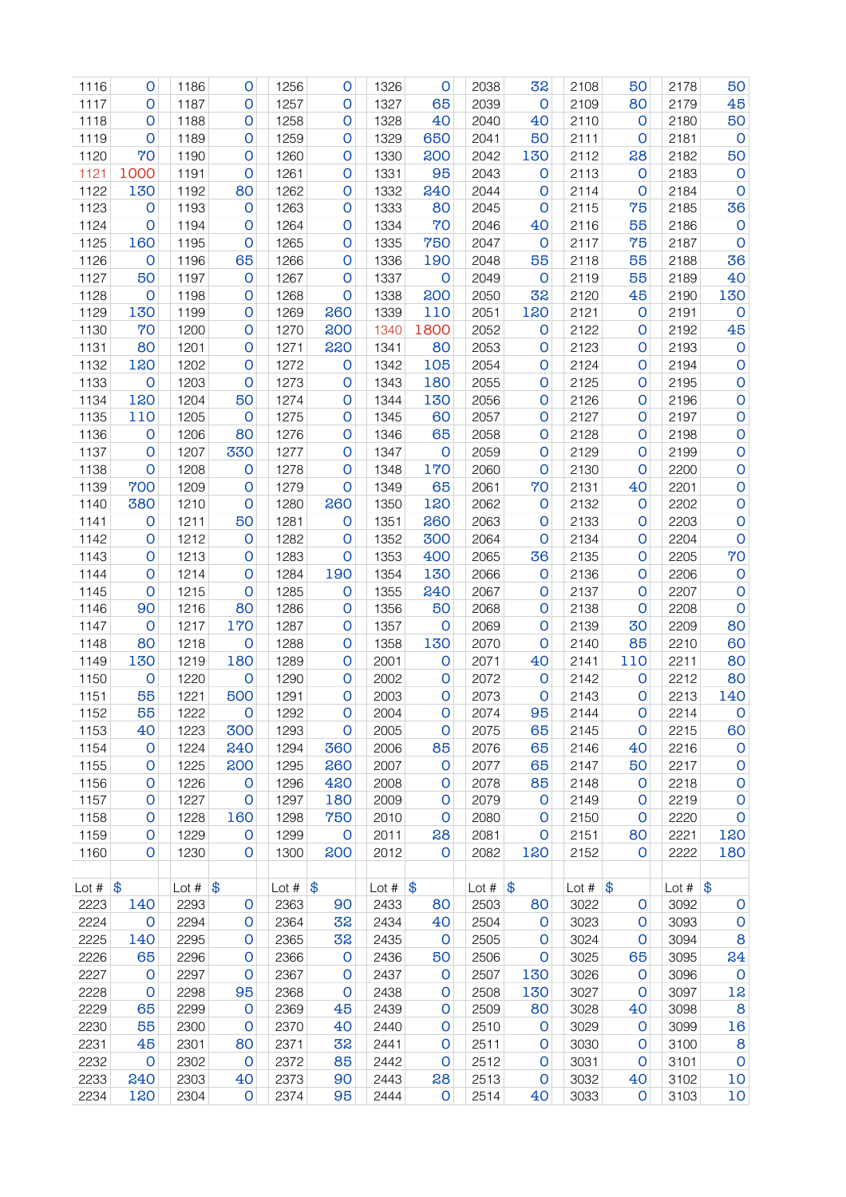| 1116        | O                   | 1186             | O                   | 1256           | O            | 1326             | $\mathsf{O}$ | 2038           | 32           | 2108           | 50           | 2178        | 50                  |
|-------------|---------------------|------------------|---------------------|----------------|--------------|------------------|--------------|----------------|--------------|----------------|--------------|-------------|---------------------|
| 1117        | 0                   | 1187             | 0                   | 1257           | 0            | 1327             | 65           | 2039           | $\mathsf{O}$ | 2109           | 80           | 2179        | 45                  |
| 1118        | 0                   | 1188             | 0                   | 1258           | O            | 1328             | 40           | 2040           | 40           | 2110           | O            | 2180        | 50                  |
| 1119        | O                   | 1189             | 0                   | 1259           | O            | 1329             | 650          | 2041           | 50           | 2111           | $\circ$      | 2181        | $\mathbf{O}$        |
| 1120        | 70                  | 1190             | 0                   | 1260           | $\mathbf 0$  | 1330             | 200          | 2042           | 130          | 2112           | 28           | 2182        | 50                  |
| 1121        | 1000                | 1191             | $\mathsf{O}$        | 1261           | $\mathbf 0$  | 1331             | 95           | 2043           | O            | 2113           | O            | 2183        | $\mathsf{O}$        |
| 1122        | 130                 | 1192             | 80                  | 1262           | $\mathbf 0$  | 1332             | 240          | 2044           | 0            | 2114           | O            | 2184        | $\circ$             |
| 1123        | O                   | 1193             | $\circ$             | 1263           | $\mathbf 0$  | 1333             | 80           | 2045           | 0            | 2115           | 75           | 2185        | 36                  |
| 1124        | $\mathsf{o}$        | 1194             | 0                   | 1264           | O            | 1334             | 70           | 2046           | 40           | 2116           | 55           | 2186        | O                   |
| 1125        | 160                 | 1195             | $\mathsf{O}$        | 1265           | 0            | 1335             | 750          | 2047           | 0            | 2117           | 75           | 2187        | $\mathsf{o}$        |
| 1126        | O                   | 1196             | 65                  | 1266           | O            | 1336             | 190          | 2048           | 55           | 2118           | 55           | 2188        | 36                  |
| 1127        | 50                  | 1197             | $\circ$             | 1267           | O            | 1337             | $\circ$      | 2049           | $\mathbf 0$  | 2119           | 55           | 2189        | 40                  |
| 1128        | $\mathsf{o}$        | 1198             | 0                   | 1268           | O            | 1338             | 200          | 2050           | 32           | 2120           | 45           | 2190        | 130                 |
| 1129        | 130                 | 1199             | 0                   | 1269           | 260          | 1339             | 110          | 2051           | 120          | 2121           | O            | 2191        | $\mathbf 0$         |
| 1130        | 70                  | 1200             | 0                   | 1270           | 200          | 1340             | 1800         | 2052           | O            | 2122           | 0            | 2192        | 45                  |
| 1131        | 80                  | 1201             | 0                   | 1271           | 220          | 1341             | 80           | 2053           | 0            | 2123           | 0            | 2193        | $\mathsf{O}\xspace$ |
| 1132        | 120                 | 1202             | $\mathsf{O}$        | 1272           | $\mathbf 0$  | 1342             | 105          | 2054           | O            | 2124           | 0            | 2194        | $\mathsf{O}$        |
| 1133        | $\mathbf 0$         | 1203             | $\mathsf{O}$        | 1273           | O            | 1343             | 180          | 2055           | 0            | 2125           | 0            | 2195        | $\mathsf{O}$        |
| 1134        | 120                 | 1204             | 50                  | 1274           | O            | 1344             | 130          | 2056           | 0            | 2126           | 0            | 2196        | $\mathsf{O}$        |
| 1135        | 110                 | 1205             | $\mathsf{O}$        | 1275           | O            | 1345             | 60           | 2057           | 0            | 2127           | $\mathsf{O}$ | 2197        | $\mathsf{O}$        |
| 1136        | $\mathsf{O}$        | 1206             | 80                  | 1276           | 0            | 1346             | 65           | 2058           | 0            | 2128           | $\mathsf{O}$ | 2198        | $\mathsf{O}$        |
| 1137        | $\mathsf{O}$        | 1207             | 330                 | 1277           | 0            | 1347             | $\mathbf 0$  | 2059           | 0            | 2129           | $\mathsf{O}$ | 2199        | $\mathsf{O}$        |
| 1138        | $\mathsf{O}\xspace$ | 1208             | $\circ$             | 1278           | O            | 1348             | 170          | 2060           | 0            | 2130           | $\mathsf{O}$ | 2200        | 0                   |
| 1139        | 700                 | 1209             | $\mathbf 0$         | 1279           | $\mathsf{O}$ | 1349             | 65           | 2061           | 70           | 2131           | 40           | 2201        | $\mathsf O$         |
| 1140        | 380                 | 1210             | $\mathbf 0$         | 1280           | 260          | 1350             | 120          | 2062           | $\mathsf{o}$ | 2132           | O            | 2202        | $\mathsf O$         |
| 1141        | 0                   | 1211             | 50                  | 1281           | O            | 1351             | 260          | 2063           | O            | 2133           | 0            | 2203        | 0                   |
| 1142        | 0                   | 1212             | $\mathsf{O}$        | 1282           | O            | 1352             | 300          | 2064           | 0            | 2134           | 0            | 2204        | O                   |
| 1143        | 0                   | 1213             | 0                   | 1283           | O            | 1353             | 400          | 2065           | 36           | 2135           | 0            | 2205        | 70                  |
| 1144        | O                   | 1214             | $\mathsf{O}$        | 1284           | 190          | 1354             | 130          | 2066           | $\mathsf{O}$ | 2136           | 0            | 2206        | $\mathbf 0$         |
| 1145        | 0                   | 1215             | $\mathsf{O}$        | 1285           | $\mathbf 0$  | 1355             | 240          | 2067           | 0            | 2137           | 0            | 2207        | $\circ$             |
| 1146        | 90                  | 1216             | 80                  | 1286           | $\mathbf 0$  | 1356             | 50           | 2068           | 0            | 2138           | 0            | 2208        | $\circ$             |
| 1147        | O                   | 1217             | 170                 | 1287           | $\mathbf 0$  | 1357             | $\mathsf{O}$ | 2069           | 0            | 2139           | 30           | 2209        | 80                  |
| 1148        | 80                  | 1218             | $\mathbf 0$         | 1288           | 0            | 1358             | 130          | 2070           | 0            | 2140           | 85           | 2210        | 60                  |
| 1149        | 130                 | 1219             | 180                 | 1289           | 0            | 2001             | 0            | 2071           | 40           | 2141           | 110          | 2211        | 80                  |
| 1150        | $\mathsf{O}$        | 1220             | $\mathsf{O}$        | 1290           | O            | 2002             | $\mathsf{O}$ | 2072           | $\mathbf 0$  | 2142           | O            | 2212        | 80                  |
| 1151        | 55                  | 1221             | 500                 | 1291           | O            | 2003             | 0            | 2073           | $\mathsf{O}$ | 2143           | 0            | 2213        | 140                 |
| 1152        | 55                  | 1222             | 0                   | 1292           | 0            | 2004             | O            | 2074           | 95           | 2144           | $\mathbf 0$  | 2214        | 0                   |
| 1153        | 40                  | 1223             | 300                 | 1293           | O            | 2005             | O            | 2075           | 65           | 2145           | O            | 2215        | 60                  |
| 1154        | $\mathbf 0$         | 1224             | 240                 | 1294           | 360          | 2006             | 85           | 2076           | 65           | 2146           | 40           | 2216        | $\mathsf O$         |
| 1155        | O                   | 1225             | 200                 | 1295           | 260          | 2007             | O            | 2077           | 65           | 2147           | 50           | 2217        | $\mathsf O$         |
| 1156        | O                   | 1226             | $\mathbf 0$         | 1296           | 420          | 2008             | O            | 2078           | 85           | 2148           | $\mathbf 0$  | 2218        | $\mathsf O$         |
| 1157        | O                   | 1227             | $\mathsf{O}\xspace$ | 1297           | 180          | 2009             | $\circ$      | 2079           | O            | 2149           | $\mathbf 0$  | 2219        | $\mathsf O$         |
| 1158        | $\mathsf{O}$        | 1228             | 160                 | 1298           | 750          | 2010             | $\mathbf 0$  | 2080           | 0            | 2150           | $\mathbf 0$  | 2220        | $\mathsf O$         |
| 1159        | O                   | 1229             | $\mathbf 0$         | 1299           | $\mathsf{O}$ | 2011             | 28           | 2081           | $\mathsf O$  | 2151           | 80           | 2221        | 120                 |
| 1160        | O                   | 1230             | O                   | 1300           | 200          | 2012             | $\circ$      | 2082           | 120          | 2152           | $\circ$      | 2222        | 180                 |
|             |                     |                  |                     |                |              |                  |              |                |              |                |              |             |                     |
| Lot $#$ $\$ |                     | Lot # $\sqrt{3}$ |                     | Lot $\#$ $\$\$ |              | Lot # $\vert \$$ |              | Lot $\#$ $\$\$ |              | Lot $\#$ $\$\$ |              | Lot # $\$\$ |                     |
| 2223        | 140                 | 2293             | O                   | 2363           | 90           | 2433             | 80           | 2503           | 80           | 3022           | 0            | 3092        | $\mathsf O$         |
| 2224        | $\mathbf 0$         | 2294             | $\mathsf O$         | 2364           | 32           | 2434             | 40           | 2504           | $\mathsf{O}$ | 3023           | 0            | 3093        | $\mathsf O$         |
| 2225        | 140                 | 2295             | O                   | 2365           | 32           | 2435             | $\mathsf{o}$ | 2505           | 0            | 3024           | 0            | 3094        | 8                   |
| 2226        | 65                  | 2296             | 0                   | 2366           | 0            | 2436             | 50           | 2506           | O            | 3025           | 65           | 3095        | 24                  |
| 2227        | $\mathbf 0$         | 2297             | 0                   | 2367           | O            | 2437             | $\mathbf 0$  | 2507           | 130          | 3026           | O            | 3096        | $\mathsf{O}$        |
| 2228        | $\mathsf{o}$        | 2298             | 95                  | 2368           | O            | 2438             | O            | 2508           | 130          | 3027           | O            | 3097        | 12                  |
| 2229        | 65                  | 2299             | $\mathsf{O}$        | 2369           | 45           | 2439             | O            | 2509           | 80           | 3028           | 40           | 3098        | 8                   |
| 2230        | 55                  | 2300             | $\mathsf{O}$        | 2370           | 40           | 2440             | 0            | 2510           | O            | 3029           | O            | 3099        | 16                  |
| 2231        | 45                  | 2301             | 80                  | 2371           | 32           | 2441             | O            | 2511           | O            | 3030           | O            | 3100        | $\bf{8}$            |
| 2232        | $\mathbf 0$         | 2302             | $\mathbf 0$         | 2372           | 85           | 2442             | O            | 2512           | 0            | 3031           | $\mathsf{o}$ | 3101        | $\mathsf{O}$        |
| 2233        | 240                 | 2303             | 40                  | 2373           | 90           | 2443             | 28           | 2513           | $\mathsf O$  | 3032           | 40           | 3102        | 10                  |
| 2234        | 120                 | 2304             | $\mathsf{O}$        | 2374           | 95           | 2444             | $\mathsf O$  | 2514           | 40           | 3033           | $\mathsf{o}$ | 3103        | 10                  |